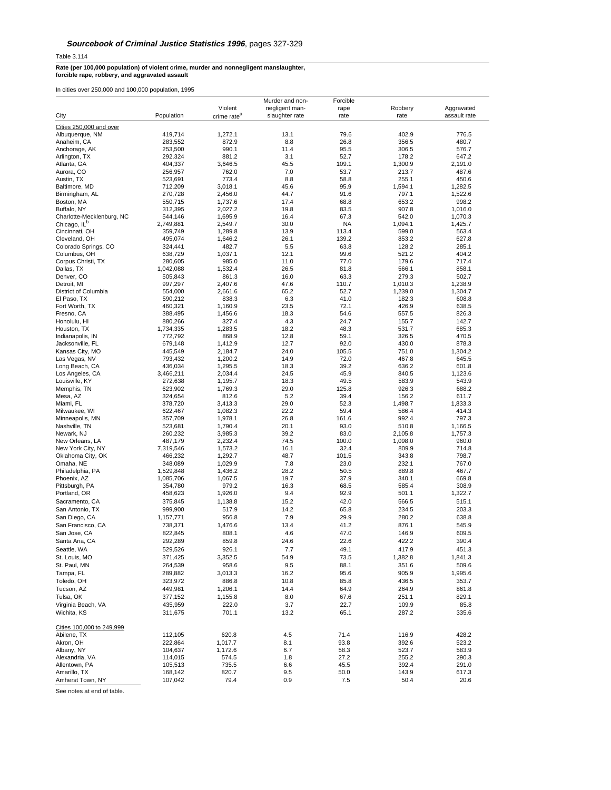Table 3.114

**Rate (per 100,000 population) of violent crime, murder and nonnegligent manslaughter, forcible rape, robbery, and aggravated assault**

In cities over 250,000 and 100,000 population, 1995

|                                          |                    |                         | Murder and non- | Forcible      |                |                |
|------------------------------------------|--------------------|-------------------------|-----------------|---------------|----------------|----------------|
|                                          |                    | Violent                 | negligent man-  | rape          | Robbery        | Aggravated     |
| City                                     | Population         | crime rate <sup>a</sup> | slaughter rate  | rate          | rate           | assault rate   |
| Cities 250,000 and over                  |                    |                         |                 |               |                |                |
| Albuquerque, NM                          | 419,714            | 1,272.1                 | 13.1            | 79.6          | 402.9          | 776.5          |
| Anaheim, CA                              | 283,552            | 872.9                   | 8.8             | 26.8          | 356.5          | 480.7          |
| Anchorage, AK                            | 253,500            | 990.1                   | 11.4            | 95.5          | 306.5          | 576.7          |
| Arlington, TX                            | 292,324            | 881.2                   | 3.1             | 52.7          | 178.2          | 647.2          |
| Atlanta, GA                              | 404,337            | 3,646.5                 | 45.5            | 109.1         | 1,300.9        | 2,191.0        |
| Aurora, CO                               | 256,957            | 762.0                   | 7.0             | 53.7          | 213.7          | 487.6          |
| Austin, TX                               | 523,691            | 773.4                   | 8.8             | 58.8          | 255.1          | 450.6          |
| Baltimore, MD                            | 712,209            | 3,018.1                 | 45.6            | 95.9          | 1,594.1        | 1,282.5        |
| Birmingham, AL                           | 270,728            | 2,456.0                 | 44.7            | 91.6          | 797.1          | 1,522.6        |
| Boston, MA                               | 550,715            | 1,737.6                 | 17.4            | 68.8          | 653.2          | 998.2          |
| Buffalo, NY                              | 312,395            | 2,027.2                 | 19.8            | 83.5          | 907.8          | 1,016.0        |
| Charlotte-Mecklenburg, NC                | 544,146            | 1,695.9                 | 16.4            | 67.3          | 542.0          | 1,070.3        |
| Chicago, IL <sup>b</sup>                 | 2,749,881          | 2,549.7                 | 30.0            | <b>NA</b>     | 1.094.1        | 1,425.7        |
| Cincinnati, OH                           | 359,749            | 1,289.8                 | 13.9            | 113.4         | 599.0          | 563.4          |
| Cleveland, OH                            | 495,074            | 1,646.2                 | 26.1            | 139.2         | 853.2          | 627.8          |
| Colorado Springs, CO                     | 324,441            | 482.7                   | 5.5             | 63.8          | 128.2          | 285.1          |
| Columbus, OH                             | 638,729            | 1,037.1                 | 12.1            | 99.6          | 521.2          | 404.2          |
| Corpus Christi, TX                       | 280,605            | 985.0                   | 11.0            | 77.0          | 179.6          | 717.4          |
| Dallas, TX                               | 1,042,088          | 1,532.4                 | 26.5            | 81.8          | 566.1          | 858.1          |
| Denver, CO                               | 505,843            | 861.3                   | 16.0            | 63.3          | 279.3          | 502.7          |
| Detroit, MI                              | 997,297            | 2,407.6                 | 47.6            | 110.7         | 1,010.3        | 1,238.9        |
| District of Columbia                     | 554,000            | 2,661.6                 | 65.2            | 52.7          | 1,239.0        | 1,304.7        |
| El Paso, TX                              | 590,212            | 838.3                   | 6.3             | 41.0          | 182.3          | 608.8          |
| Fort Worth, TX                           | 460,321            | 1,160.9                 | 23.5            | 72.1          | 426.9          | 638.5          |
| Fresno, CA                               | 388,495            | 1,456.6                 | 18.3            | 54.6          | 557.5          | 826.3          |
| Honolulu, HI                             | 880,266            | 327.4                   | 4.3             | 24.7          | 155.7          | 142.7          |
| Houston, TX                              | 1,734,335          | 1,283.5                 | 18.2            | 48.3          | 531.7          | 685.3          |
| Indianapolis, IN                         | 772,792            | 868.9                   | 12.8            | 59.1          | 326.5          | 470.5          |
| Jacksonville, FL                         | 679,148            | 1,412.9                 | 12.7            | 92.0          | 430.0          | 878.3          |
| Kansas City, MO                          | 445,549            | 2,184.7                 | 24.0            | 105.5         | 751.0          | 1,304.2        |
| Las Vegas, NV                            | 793,432            | 1,200.2                 | 14.9            | 72.0          | 467.8          | 645.5          |
| Long Beach, CA                           | 436,034            | 1,295.5                 | 18.3            | 39.2          | 636.2          | 601.8          |
| Los Angeles, CA                          | 3,466,211          | 2,034.4                 | 24.5            | 45.9          | 840.5          | 1,123.6        |
| Louisville, KY                           | 272,638            | 1,195.7                 | 18.3<br>29.0    | 49.5          | 583.9          | 543.9<br>688.2 |
| Memphis, TN<br>Mesa, AZ                  | 623,902<br>324,654 | 1,769.3<br>812.6        | 5.2             | 125.8<br>39.4 | 926.3<br>156.2 | 611.7          |
| Miami, FL                                |                    |                         | 29.0            | 52.3          | 1,498.7        | 1,833.3        |
| Milwaukee, WI                            | 378,720<br>622,467 | 3,413.3<br>1,082.3      | 22.2            | 59.4          | 586.4          | 414.3          |
| Minneapolis, MN                          | 357,709            | 1,978.1                 | 26.8            | 161.6         | 992.4          | 797.3          |
| Nashville, TN                            | 523,681            | 1,790.4                 | 20.1            | 93.0          | 510.8          | 1,166.5        |
| Newark, NJ                               | 260,232            | 3,985.3                 | 39.2            | 83.0          | 2,105.8        | 1,757.3        |
| New Orleans, LA                          | 487,179            | 2,232.4                 | 74.5            | 100.0         | 1,098.0        | 960.0          |
| New York City, NY                        | 7,319,546          | 1,573.2                 | 16.1            | 32.4          | 809.9          | 714.8          |
| Oklahoma City, OK                        | 466,232            | 1,292.7                 | 48.7            | 101.5         | 343.8          | 798.7          |
| Omaha, NE                                | 348,089            | 1,029.9                 | 7.8             | 23.0          | 232.1          | 767.0          |
| Philadelphia, PA                         | 1,529,848          | 1,436.2                 | 28.2            | 50.5          | 889.8          | 467.7          |
| Phoenix, AZ                              | 1,085,706          | 1,067.5                 | 19.7            | 37.9          | 340.1          | 669.8          |
| Pittsburgh, PA                           | 354,780            | 979.2                   | 16.3            | 68.5          | 585.4          | 308.9          |
| Portland, OR                             | 458,623            | 1,926.0                 | 9.4             | 92.9          | 501.1          | 1,322.7        |
| Sacramento, CA                           | 375,845            | 1,138.8                 | 15.2            | 42.0          | 566.5          | 515.1          |
| San Antonio, TX                          | 999,900            | 517.9                   | 14.2            | 65.8          | 234.5          | 203.3          |
| San Diego, CA                            | 1,157,771          | 956.8                   | 7.9             | 29.9          | 280.2          | 638.8          |
| San Francisco, CA                        | 738,371            | 1,476.6                 | 13.4            | 41.2          | 876.1          | 545.9          |
| San Jose, CA                             | 822,845            | 808.1                   | 4.6             | 47.0          | 146.9          | 609.5          |
| Santa Ana, CA                            | 292,289            | 859.8                   | 24.6            | 22.6          | 422.2          | 390.4          |
|                                          |                    |                         |                 |               |                |                |
| Seattle, WA<br>St. Louis, MO             | 529,526            | 926.1                   | 7.7             | 49.1          | 417.9          | 451.3          |
|                                          | 371,425            | 3,352.5                 | 54.9            | 73.5          | 1,382.8        | 1,841.3        |
| St. Paul, MN                             | 264,539            | 958.6                   | 9.5             | 88.1          | 351.6          | 509.6          |
| Tampa, FL                                | 289,882            | 3,013.3                 | 16.2            | 95.6          | 905.9          | 1,995.6        |
| Toledo, OH                               | 323,972            | 886.8                   | 10.8            | 85.8          | 436.5          | 353.7          |
| Tucson, AZ                               | 449,981            | 1,206.1                 | 14.4            | 64.9          | 264.9          | 861.8          |
| Tulsa, OK                                | 377,152            | 1,155.8                 | 8.0             | 67.6          | 251.1          | 829.1          |
| Virginia Beach, VA                       | 435,959            | 222.0                   | 3.7             | 22.7          | 109.9          | 85.8           |
| Wichita, KS                              | 311,675            | 701.1                   | 13.2            | 65.1          | 287.2          | 335.6          |
| Cities 100,000 to 249,999<br>Abilene, TX | 112,105            | 620.8                   | 4.5             | 71.4          | 116.9          | 428.2          |
| Akron, OH                                | 222,864            | 1,017.7                 | 8.1             | 93.8          | 392.6          | 523.2          |
| Albany, NY                               | 104,637            | 1,172.6                 | 6.7             | 58.3          | 523.7          | 583.9          |
| Alexandria, VA                           | 114,015            |                         | 1.8             | 27.2          | 255.2          | 290.3          |
| Allentown, PA                            | 105,513            | 574.5<br>735.5          | 6.6             | 45.5          | 392.4          | 291.0          |
| Amarillo, TX                             | 168,142            | 820.7                   | 9.5             | 50.0          | 143.9          | 617.3          |
| Amherst Town, NY                         | 107,042            | 79.4                    | 0.9             | 7.5           | 50.4           | 20.6           |
|                                          |                    |                         |                 |               |                |                |

See notes at end of table.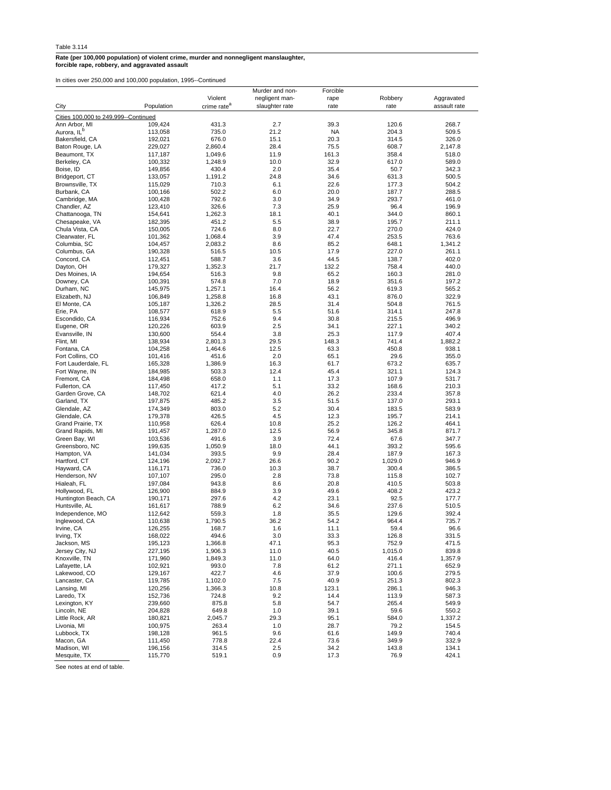**Rate (per 100,000 population) of violent crime, murder and nonnegligent manslaughter, forcible rape, robbery, and aggravated assault**

In cities over 250,000 and 100,000 population, 1995--Continued

|                                        |            |                         | Murder and non- | Forcible |         |              |
|----------------------------------------|------------|-------------------------|-----------------|----------|---------|--------------|
|                                        |            | Violent                 | negligent man-  | rape     | Robbery | Aggravated   |
| City                                   | Population | crime rate <sup>a</sup> | slaughter rate  | rate     | rate    | assault rate |
|                                        |            |                         |                 |          |         |              |
| Cities 100,000 to 249,999 -- Continued |            |                         |                 |          |         |              |
| Ann Arbor, MI                          | 109,424    | 431.3                   | 2.7             | 39.3     | 120.6   | 268.7        |
| Aurora, IL <sup>b</sup>                | 113,058    | 735.0                   | 21.2            | NA       | 204.3   | 509.5        |
| Bakersfield, CA                        | 192,021    | 676.0                   | 15.1            | 20.3     | 314.5   | 326.0        |
| Baton Rouge, LA                        | 229,027    | 2,860.4                 | 28.4            | 75.5     | 608.7   | 2,147.8      |
| Beaumont, TX                           |            |                         |                 |          |         |              |
|                                        | 117,187    | 1,049.6                 | 11.9            | 161.3    | 358.4   | 518.0        |
| Berkeley, CA                           | 100,332    | 1,248.9                 | 10.0            | 32.9     | 617.0   | 589.0        |
| Boise, ID                              | 149,856    | 430.4                   | 2.0             | 35.4     | 50.7    | 342.3        |
| Bridgeport, CT                         | 133,057    | 1,191.2                 | 24.8            | 34.6     | 631.3   | 500.5        |
| Brownsville, TX                        | 115,029    | 710.3                   | 6.1             | 22.6     | 177.3   | 504.2        |
| Burbank, CA                            | 100,166    | 502.2                   | 6.0             | 20.0     | 187.7   | 288.5        |
| Cambridge, MA                          | 100,428    | 792.6                   | 3.0             | 34.9     | 293.7   | 461.0        |
| Chandler, AZ                           | 123,410    | 326.6                   | 7.3             | 25.9     | 96.4    | 196.9        |
| Chattanooga, TN                        | 154.641    | 1,262.3                 | 18.1            | 40.1     | 344.0   | 860.1        |
| Chesapeake, VA                         | 182,395    |                         |                 |          |         |              |
|                                        |            | 451.2                   | 5.5             | 38.9     | 195.7   | 211.1        |
| Chula Vista, CA                        | 150,005    | 724.6                   | 8.0             | 22.7     | 270.0   | 424.0        |
| Clearwater, FL                         | 101,362    | 1,068.4                 | 3.9             | 47.4     | 253.5   | 763.6        |
| Columbia, SC                           | 104,457    | 2,083.2                 | 8.6             | 85.2     | 648.1   | 1,341.2      |
| Columbus, GA                           | 190,328    | 516.5                   | 10.5            | 17.9     | 227.0   | 261.1        |
| Concord, CA                            | 112,451    | 588.7                   | 3.6             | 44.5     | 138.7   | 402.0        |
| Dayton, OH                             | 179,327    | 1,352.3                 | 21.7            | 132.2    | 758.4   | 440.0        |
| Des Moines, IA                         | 194,654    | 516.3                   | 9.8             | 65.2     | 160.3   | 281.0        |
| Downey, CA                             | 100,391    | 574.8                   | 7.0             | 18.9     | 351.6   | 197.2        |
|                                        |            |                         |                 |          |         | 565.2        |
| Durham, NC                             | 145,975    | 1,257.1                 | 16.4            | 56.2     | 619.3   |              |
| Elizabeth, NJ                          | 106,849    | 1,258.8                 | 16.8            | 43.1     | 876.0   | 322.9        |
| El Monte, CA                           | 105,187    | 1.326.2                 | 28.5            | 31.4     | 504.8   | 761.5        |
| Erie, PA                               | 108,577    | 618.9                   | 5.5             | 51.6     | 314.1   | 247.8        |
| Escondido, CA                          | 116,934    | 752.6                   | 9.4             | 30.8     | 215.5   | 496.9        |
| Eugene, OR                             | 120,226    | 603.9                   | 2.5             | 34.1     | 227.1   | 340.2        |
| Evansville, IN                         | 130.600    | 554.4                   | 3.8             | 25.3     | 117.9   | 407.4        |
| Flint, MI                              | 138,934    | 2,801.3                 | 29.5            | 148.3    | 741.4   | 1,882.2      |
| Fontana, CA                            | 104,258    | 1,464.6                 | 12.5            | 63.3     | 450.8   | 938.1        |
| Fort Collins, CO                       | 101,416    | 451.6                   | 2.0             | 65.1     | 29.6    | 355.0        |
| Fort Lauderdale, FL                    | 165.328    | 1,386.9                 | 16.3            | 61.7     | 673.2   | 635.7        |
| Fort Wayne, IN                         |            |                         | 12.4            |          |         |              |
|                                        | 184,985    | 503.3                   |                 | 45.4     | 321.1   | 124.3        |
| Fremont, CA                            | 184,498    | 658.0                   | 1.1             | 17.3     | 107.9   | 531.7        |
| Fullerton, CA                          | 117,450    | 417.2                   | 5.1             | 33.2     | 168.6   | 210.3        |
| Garden Grove, CA                       | 148,702    | 621.4                   | 4.0             | 26.2     | 233.4   | 357.8        |
| Garland, TX                            | 197,875    | 485.2                   | 3.5             | 51.5     | 137.0   | 293.1        |
| Glendale, AZ                           | 174,349    | 803.0                   | 5.2             | 30.4     | 183.5   | 583.9        |
| Glendale, CA                           | 179,378    | 426.5                   | 4.5             | 12.3     | 195.7   | 214.1        |
| Grand Prairie, TX                      | 110,958    | 626.4                   | 10.8            | 25.2     | 126.2   | 464.1        |
| Grand Rapids, MI                       | 191,457    | 1,287.0                 | 12.5            | 56.9     | 345.8   | 871.7        |
| Green Bay, WI                          | 103,536    | 491.6                   | 3.9             | 72.4     | 67.6    | 347.7        |
|                                        |            | 1,050.9                 | 18.0            | 44.1     |         | 595.6        |
| Greensboro, NC                         | 199,635    |                         |                 |          | 393.2   |              |
| Hampton, VA                            | 141,034    | 393.5                   | 9.9             | 28.4     | 187.9   | 167.3        |
| Hartford, CT                           | 124,196    | 2,092.7                 | 26.6            | 90.2     | 1,029.0 | 946.9        |
| Hayward, CA                            | 116,171    | 736.0                   | 10.3            | 38.7     | 300.4   | 386.5        |
| Henderson, NV                          | 107,107    | 295.0                   | 2.8             | 73.8     | 115.8   | 102.7        |
| Hialeah, FL                            | 197,084    | 943.8                   | 8.6             | 20.8     | 410.5   | 503.8        |
| Hollywood, FL                          | 126,900    | 884.9                   | 3.9             | 49.6     | 408.2   | 423.2        |
| Huntington Beach, CA                   | 190,171    | 297.6                   | 4.2             | 23.1     | 92.5    | 177.7        |
| Huntsville, AL                         | 161,617    | 788.9                   | 6.2             | 34.6     | 237.6   | 510.5        |
| Independence, MO                       | 112,642    | 559.3                   | 1.8             | 35.5     | 129.6   | 392.4        |
| Inglewood, CA                          | 110,638    | 1,790.5                 | 36.2            | 54.2     | 964.4   | 735.7        |
|                                        |            |                         |                 |          |         |              |
| Irvine, CA                             | 126,255    | 168.7                   | 1.6             | 11.1     | 59.4    | 96.6         |
| Irving, TX                             | 168,022    | 494.6                   | 3.0             | 33.3     | 126.8   | 331.5        |
| Jackson, MS                            | 195,123    | 1,366.8                 | 47.1            | 95.3     | 752.9   | 471.5        |
| Jersey City, NJ                        | 227,195    | 1,906.3                 | 11.0            | 40.5     | 1,015.0 | 839.8        |
| Knoxville, TN                          | 171,960    | 1,849.3                 | 11.0            | 64.0     | 416.4   | 1,357.9      |
| Lafayette, LA                          | 102,921    | 993.0                   | 7.8             | 61.2     | 271.1   | 652.9        |
| Lakewood, CO                           | 129,167    | 422.7                   | 4.6             | 37.9     | 100.6   | 279.5        |
| Lancaster, CA                          | 119,785    | 1,102.0                 | 7.5             | 40.9     | 251.3   | 802.3        |
| Lansing, MI                            |            | 1,366.3                 | 10.8            | 123.1    |         | 946.3        |
|                                        | 120,256    |                         |                 |          | 286.1   |              |
| Laredo, TX                             | 152,736    | 724.8                   | 9.2             | 14.4     | 113.9   | 587.3        |
| Lexington, KY                          | 239,660    | 875.8                   | 5.8             | 54.7     | 265.4   | 549.9        |
| Lincoln, NE                            | 204,828    | 649.8                   | 1.0             | 39.1     | 59.6    | 550.2        |
| Little Rock, AR                        | 180,821    | 2,045.7                 | 29.3            | 95.1     | 584.0   | 1,337.2      |
| Livonia, MI                            | 100,975    | 263.4                   | 1.0             | 28.7     | 79.2    | 154.5        |
| Lubbock, TX                            | 198,128    | 961.5                   | 9.6             | 61.6     | 149.9   | 740.4        |
| Macon, GA                              | 111,450    | 778.8                   | 22.4            | 73.6     | 349.9   | 332.9        |
| Madison, WI                            | 196,156    | 314.5                   | 2.5             | 34.2     | 143.8   | 134.1        |
| Mesquite, TX                           | 115,770    | 519.1                   | 0.9             | 17.3     | 76.9    | 424.1        |
|                                        |            |                         |                 |          |         |              |

See notes at end of table.